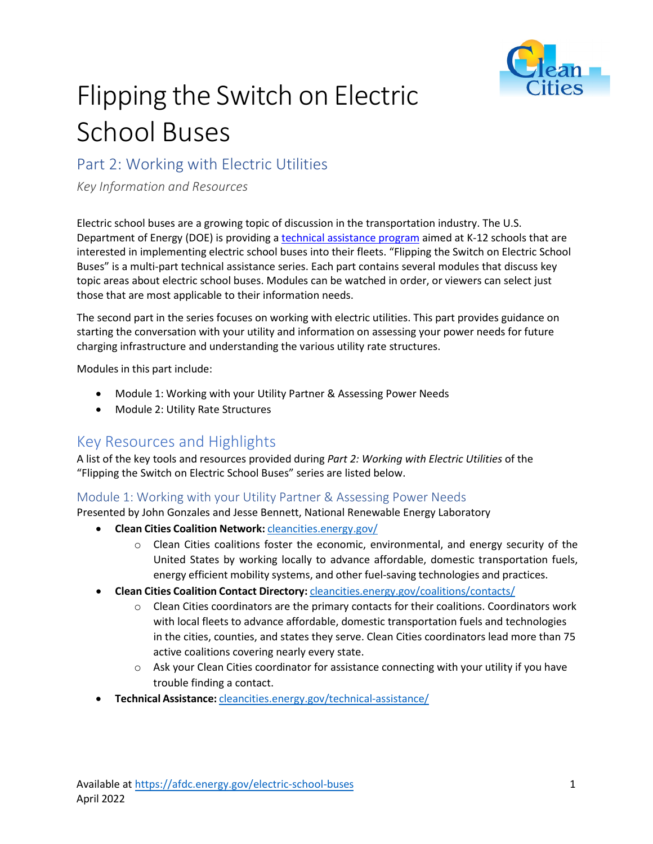

# Flipping the Switch on Electric School Buses

## Part 2: Working with Electric Utilities

*Key Information and Resources*

Electric school buses are a growing topic of discussion in the transportation industry. The U.S. Department of Energy (DOE) is providing a [technical assistance program](https://afdc.energy.gov/vehicles/electric_school_buses.html) aimed at K-12 schools that are interested in implementing electric school buses into their fleets. "Flipping the Switch on Electric School Buses" is a multi-part technical assistance series. Each part contains several modules that discuss key topic areas about electric school buses. Modules can be watched in order, or viewers can select just those that are most applicable to their information needs.

The second part in the series focuses on working with electric utilities. This part provides guidance on starting the conversation with your utility and information on assessing your power needs for future charging infrastructure and understanding the various utility rate structures.

Modules in this part include:

- Module 1: Working with your Utility Partner & Assessing Power Needs
- Module 2: Utility Rate Structures

## Key Resources and Highlights

A list of the key tools and resources provided during *Part 2: Working with Electric Utilities* of the "Flipping the Switch on Electric School Buses" series are listed below.

#### Module 1: Working with your Utility Partner & Assessing Power Needs

Presented by John Gonzales and Jesse Bennett, National Renewable Energy Laboratory

- **Clean Cities Coalition Network:** [cleancities.energy.gov/](https://cleancities.energy.gov/)
	- $\circ$  Clean Cities coalitions foster the economic, environmental, and energy security of the United States by working locally to advance affordable, domestic transportation fuels, energy efficient mobility systems, and other fuel-saving technologies and practices.
- **Clean Cities Coalition Contact Directory:** [cleancities.energy.gov/coalitions/contacts/](https://cleancities.energy.gov/coalitions/contacts)
	- $\circ$  Clean Cities coordinators are the primary contacts for their coalitions. Coordinators work with local fleets to advance affordable, domestic transportation fuels and technologies in the cities, counties, and states they serve. Clean Cities coordinators lead more than 75 active coalitions covering nearly every state.
	- $\circ$  Ask your Clean Cities coordinator for assistance connecting with your utility if you have trouble finding a contact.
- **Technical Assistance:** [cleancities.energy.gov/technical-assistance/](https://cleancities.energy.gov/technical-assistance)